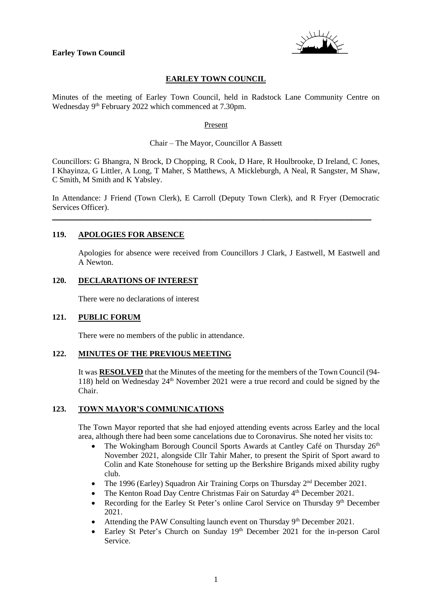

## **EARLEY TOWN COUNCIL**

Minutes of the meeting of Earley Town Council, held in Radstock Lane Community Centre on Wednesday 9<sup>th</sup> February 2022 which commenced at 7.30pm.

#### Present

### Chair – The Mayor, Councillor A Bassett

Councillors: G Bhangra, N Brock, D Chopping, R Cook, D Hare, R Houlbrooke, D Ireland, C Jones, I Khayinza, G Littler, A Long, T Maher, S Matthews, A Mickleburgh, A Neal, R Sangster, M Shaw, C Smith, M Smith and K Yabsley.

In Attendance: J Friend (Town Clerk), E Carroll (Deputy Town Clerk), and R Fryer (Democratic Services Officer).

\_\_\_\_\_\_\_\_\_\_\_\_\_\_\_\_\_\_\_\_\_\_\_\_\_\_\_\_\_\_\_\_\_\_\_\_\_\_\_\_\_\_\_\_\_\_\_\_\_\_\_\_\_\_\_\_\_\_\_\_\_\_\_\_\_\_\_\_\_\_\_\_\_\_\_\_\_\_\_\_

### **119. APOLOGIES FOR ABSENCE**

Apologies for absence were received from Councillors J Clark, J Eastwell, M Eastwell and A Newton.

#### **120. DECLARATIONS OF INTEREST**

There were no declarations of interest

#### **121. PUBLIC FORUM**

There were no members of the public in attendance.

#### **122. MINUTES OF THE PREVIOUS MEETING**

It was **RESOLVED** that the Minutes of the meeting for the members of the Town Council (94- 118) held on Wednesday  $24<sup>th</sup>$  November 2021 were a true record and could be signed by the Chair.

#### **123. TOWN MAYOR'S COMMUNICATIONS**

The Town Mayor reported that she had enjoyed attending events across Earley and the local area, although there had been some cancelations due to Coronavirus. She noted her visits to:

- The Wokingham Borough Council Sports Awards at Cantley Café on Thursday 26<sup>th</sup> November 2021, alongside Cllr Tahir Maher, to present the Spirit of Sport award to Colin and Kate Stonehouse for setting up the Berkshire Brigands mixed ability rugby club.
- The 1996 (Earley) Squadron Air Training Corps on Thursday 2nd December 2021.
- The Kenton Road Day Centre Christmas Fair on Saturday 4th December 2021.
- Recording for the Earley St Peter's online Carol Service on Thursday 9<sup>th</sup> December 2021.
- Attending the PAW Consulting launch event on Thursday 9<sup>th</sup> December 2021.
- Earley St Peter's Church on Sunday 19<sup>th</sup> December 2021 for the in-person Carol Service.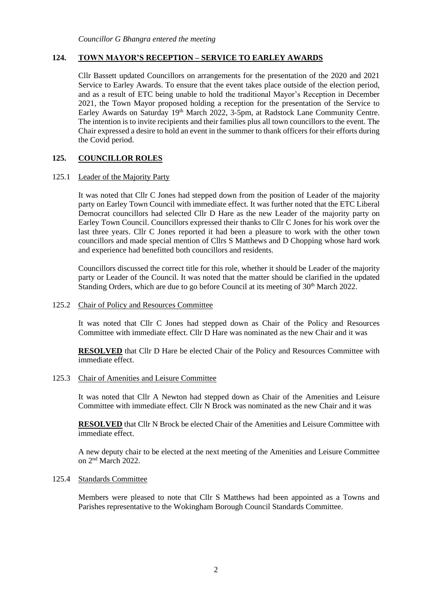## **124. TOWN MAYOR'S RECEPTION – SERVICE TO EARLEY AWARDS**

Cllr Bassett updated Councillors on arrangements for the presentation of the 2020 and 2021 Service to Earley Awards. To ensure that the event takes place outside of the election period, and as a result of ETC being unable to hold the traditional Mayor's Reception in December 2021, the Town Mayor proposed holding a reception for the presentation of the Service to Earley Awards on Saturday 19<sup>th</sup> March 2022, 3-5pm, at Radstock Lane Community Centre. The intention is to invite recipients and their families plus all town councillors to the event. The Chair expressed a desire to hold an event in the summer to thank officers for their efforts during the Covid period.

## **125. COUNCILLOR ROLES**

#### 125.1 Leader of the Majority Party

It was noted that Cllr C Jones had stepped down from the position of Leader of the majority party on Earley Town Council with immediate effect. It was further noted that the ETC Liberal Democrat councillors had selected Cllr D Hare as the new Leader of the majority party on Earley Town Council. Councillors expressed their thanks to Cllr C Jones for his work over the last three years. Cllr C Jones reported it had been a pleasure to work with the other town councillors and made special mention of Cllrs S Matthews and D Chopping whose hard work and experience had benefitted both councillors and residents.

Councillors discussed the correct title for this role, whether it should be Leader of the majority party or Leader of the Council. It was noted that the matter should be clarified in the updated Standing Orders, which are due to go before Council at its meeting of  $30<sup>th</sup>$  March 2022.

### 125.2 Chair of Policy and Resources Committee

It was noted that Cllr C Jones had stepped down as Chair of the Policy and Resources Committee with immediate effect. Cllr D Hare was nominated as the new Chair and it was

**RESOLVED** that Cllr D Hare be elected Chair of the Policy and Resources Committee with immediate effect.

#### 125.3 Chair of Amenities and Leisure Committee

It was noted that Cllr A Newton had stepped down as Chair of the Amenities and Leisure Committee with immediate effect. Cllr N Brock was nominated as the new Chair and it was

**RESOLVED** that Cllr N Brock be elected Chair of the Amenities and Leisure Committee with immediate effect.

A new deputy chair to be elected at the next meeting of the Amenities and Leisure Committee on 2nd March 2022.

#### 125.4 Standards Committee

Members were pleased to note that Cllr S Matthews had been appointed as a Towns and Parishes representative to the Wokingham Borough Council Standards Committee.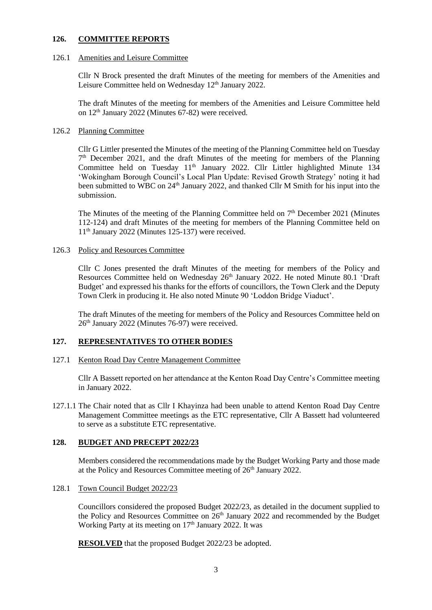### **126. COMMITTEE REPORTS**

#### 126.1 Amenities and Leisure Committee

Cllr N Brock presented the draft Minutes of the meeting for members of the Amenities and Leisure Committee held on Wednesday  $12<sup>th</sup>$  January 2022.

The draft Minutes of the meeting for members of the Amenities and Leisure Committee held on  $12<sup>th</sup>$  January 2022 (Minutes 67-82) were received.

### 126.2 Planning Committee

Cllr G Littler presented the Minutes of the meeting of the Planning Committee held on Tuesday 7 th December 2021, and the draft Minutes of the meeting for members of the Planning Committee held on Tuesday 11<sup>th</sup> January 2022. Cllr Littler highlighted Minute 134 'Wokingham Borough Council's Local Plan Update: Revised Growth Strategy' noting it had been submitted to WBC on 24<sup>th</sup> January 2022, and thanked Cllr M Smith for his input into the submission.

The Minutes of the meeting of the Planning Committee held on 7<sup>th</sup> December 2021 (Minutes 112-124) and draft Minutes of the meeting for members of the Planning Committee held on 11th January 2022 (Minutes 125-137) were received.

#### 126.3 Policy and Resources Committee

Cllr C Jones presented the draft Minutes of the meeting for members of the Policy and Resources Committee held on Wednesday 26<sup>th</sup> January 2022. He noted Minute 80.1 'Draft Budget' and expressed his thanks for the efforts of councillors, the Town Clerk and the Deputy Town Clerk in producing it. He also noted Minute 90 'Loddon Bridge Viaduct'.

The draft Minutes of the meeting for members of the Policy and Resources Committee held on 26<sup>th</sup> January 2022 (Minutes 76-97) were received.

### **127. REPRESENTATIVES TO OTHER BODIES**

#### 127.1 Kenton Road Day Centre Management Committee

Cllr A Bassett reported on her attendance at the Kenton Road Day Centre's Committee meeting in January 2022.

127.1.1 The Chair noted that as Cllr I Khayinza had been unable to attend Kenton Road Day Centre Management Committee meetings as the ETC representative, Cllr A Bassett had volunteered to serve as a substitute ETC representative.

### **128. BUDGET AND PRECEPT 2022/23**

Members considered the recommendations made by the Budget Working Party and those made at the Policy and Resources Committee meeting of 26<sup>th</sup> January 2022.

### 128.1 Town Council Budget 2022/23

Councillors considered the proposed Budget 2022/23, as detailed in the document supplied to the Policy and Resources Committee on 26<sup>th</sup> January 2022 and recommended by the Budget Working Party at its meeting on 17<sup>th</sup> January 2022. It was

**RESOLVED** that the proposed Budget 2022/23 be adopted.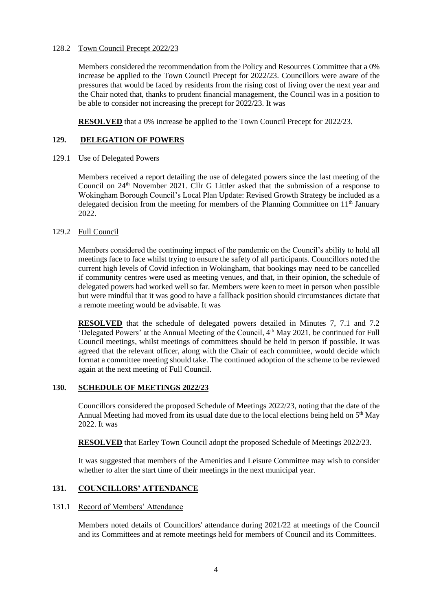### 128.2 Town Council Precept 2022/23

Members considered the recommendation from the Policy and Resources Committee that a 0% increase be applied to the Town Council Precept for 2022/23. Councillors were aware of the pressures that would be faced by residents from the rising cost of living over the next year and the Chair noted that, thanks to prudent financial management, the Council was in a position to be able to consider not increasing the precept for 2022/23. It was

**RESOLVED** that a 0% increase be applied to the Town Council Precept for 2022/23.

# **129. DELEGATION OF POWERS**

### 129.1 Use of Delegated Powers

Members received a report detailing the use of delegated powers since the last meeting of the Council on 24<sup>th</sup> November 2021. Cllr G Littler asked that the submission of a response to Wokingham Borough Council's Local Plan Update: Revised Growth Strategy be included as a delegated decision from the meeting for members of the Planning Committee on  $11<sup>th</sup>$  January 2022.

## 129.2 Full Council

Members considered the continuing impact of the pandemic on the Council's ability to hold all meetings face to face whilst trying to ensure the safety of all participants. Councillors noted the current high levels of Covid infection in Wokingham, that bookings may need to be cancelled if community centres were used as meeting venues, and that, in their opinion, the schedule of delegated powers had worked well so far. Members were keen to meet in person when possible but were mindful that it was good to have a fallback position should circumstances dictate that a remote meeting would be advisable. It was

**RESOLVED** that the schedule of delegated powers detailed in Minutes 7, 7.1 and 7.2 'Delegated Powers' at the Annual Meeting of the Council,  $4<sup>th</sup>$  May 2021, be continued for Full Council meetings, whilst meetings of committees should be held in person if possible. It was agreed that the relevant officer, along with the Chair of each committee, would decide which format a committee meeting should take. The continued adoption of the scheme to be reviewed again at the next meeting of Full Council.

# **130. SCHEDULE OF MEETINGS 2022/23**

Councillors considered the proposed Schedule of Meetings 2022/23, noting that the date of the Annual Meeting had moved from its usual date due to the local elections being held on 5<sup>th</sup> May 2022. It was

**RESOLVED** that Earley Town Council adopt the proposed Schedule of Meetings 2022/23.

It was suggested that members of the Amenities and Leisure Committee may wish to consider whether to alter the start time of their meetings in the next municipal year.

# **131. COUNCILLORS' ATTENDANCE**

### 131.1 Record of Members' Attendance

Members noted details of Councillors' attendance during 2021/22 at meetings of the Council and its Committees and at remote meetings held for members of Council and its Committees.